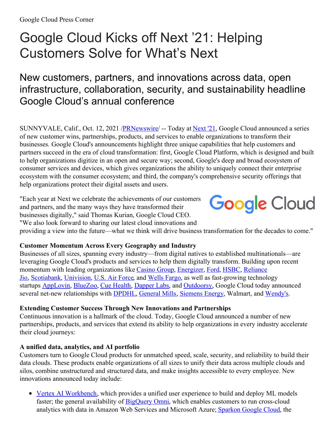# Google Cloud Kicks off Next '21: Helping Customers Solve for What's Next

## New customers, partners, and innovations across data, open infrastructure, collaboration, security, and sustainability headline Google Cloud's annual conference

SUNNYVALE, Calif., Oct. 12, 2021 /**PRNewswire** -- Today at <u>[Next](https://c212.net/c/link/?t=0&l=en&o=3319222-1&h=758342151&u=https%3A%2F%2Fcloud.withgoogle.com%2Fnext&a=Next+%2721) '21</u>, Google Cloud announced a series of new customer wins, partnerships, products, and services to enable organizations to transform their businesses. Google Cloud's announcements highlight three unique capabilities that help customers and partners succeed in the era of cloud transformation: first, Google Cloud Platform, which is designed and built to help organizations digitize in an open and secure way; second, Google's deep and broad ecosystem of consumer services and devices, which gives organizations the ability to uniquely connect their enterprise ecosystem with the consumer ecosystem; and third, the company's comprehensive security offerings that help organizations protect their digital assets and users.

"Each year at Next we celebrate the achievements of our customers and partners, and the many ways they have transformed their businesses digitally," said Thomas Kurian, Google Cloud CEO. "We also look forward to sharing our latest cloud innovations and



providing a view into the future—what we think will drive business transformation for the decades to come."

#### **Customer Momentum Across Every Geography and Industry**

Businesses of all sizes, spanning every industry—from digital natives to established multinationals—are leveraging Google Cloud's products and services to help them digitally transform. Building upon recent momentum with leading [organizations](https://c212.net/c/link/?t=0&l=en&o=3319222-1&h=1958193078&u=https%3A%2F%2Fcloud.google.com%2Fpress-releases%2F2021%2F0624%2Fjioandgooglecloudcollaborateon5gtoanableabillionindiansacesssuperiorconnectivity&a=Reliance+Jio) like [Casino](https://c212.net/c/link/?t=0&l=en&o=3319222-1&h=810841781&u=https%3A%2F%2Fwww.googlecloudpresscorner.com%2F2021-07-05-Casino-Group-partners-with-Accenture-and-Google-Cloud-to-accelerate-its-digital-strategy&a=Casino+Group) Group, [Energizer](https://c212.net/c/link/?t=0&l=en&o=3319222-1&h=1366521407&u=https%3A%2F%2Fwww.googlecloudpresscorner.com%2F2021-07-26-The-Energizer-Bunny-Taps-SAP-R-Software-to-Power-Finance-Transformation-on-Google-Cloud&a=Energizer), [Ford](https://c212.net/c/link/?t=0&l=en&o=3319222-1&h=3681368908&u=https%3A%2F%2Fcloud.google.com%2Fpress-releases%2F2021%2F0201%2Fford-and-google-partnership&a=Ford), [HSBC](https://c212.net/c/link/?t=0&l=en&o=3319222-1&h=2374469234&u=https%3A%2F%2Fwww.googlecloudpresscorner.com%2F2021-09-30-HSBC-launches-new-scenario-risk-tool-on-Google-Cloud-for-risk-and-trading-teams&a=HSBC), Reliance Jio, [Scotiabank](https://c212.net/c/link/?t=0&l=en&o=3319222-1&h=4221634067&u=https%3A%2F%2Fwww.googlecloudpresscorner.com%2F2021-09-29-Scotiabank-Partners-With-Google-Cloud-To-Create-More-Personalized-And-Predictive-Banking-Experiences&a=Scotiabank), [Univision](https://c212.net/c/link/?t=0&l=en&o=3319222-1&h=2853028811&u=https%3A%2F%2Fcloud.google.com%2Fpress-releases%2F2021%2F0426%2Funivision-partners-with-google&a=Univision), U.S. Air [Force](https://c212.net/c/link/?t=0&l=en&o=3319222-1&h=2209169685&u=https%3A%2F%2Fwww.googlecloudpresscorner.com%2F2021-07-16-U-S-Air-Force-Rapid-Sustainment-Office-Partners-with-Google-Cloud-to-Solve-Its-Toughest-Sustainment-Challenges&a=U.S.+Air+Force), and [We](https://c212.net/c/link/?t=0&l=en&o=3319222-1&h=851530655&u=https%3A%2F%2Fnewsroom.wf.com%2FEnglish%2Fnews-releases%2Fnews-release-details%2F2021%2FWells-Fargo-Announces-New-Digital-Infrastructure-Strategy-and-Strategic-Partnerships-With-Microsoft-Google-Cloud%2Fdefault.aspx&a=W)lls [Fargo](https://c212.net/c/link/?t=0&l=en&o=3319222-1&h=1282633335&u=https%3A%2F%2Fnewsroom.wf.com%2FEnglish%2Fnews-releases%2Fnews-release-details%2F2021%2FWells-Fargo-Announces-New-Digital-Infrastructure-Strategy-and-Strategic-Partnerships-With-Microsoft-Google-Cloud%2Fdefault.aspx&a=ells+Fargo), as well as fast-growing technology startups [AppLovin](https://c212.net/c/link/?t=0&l=en&o=3319222-1&h=3978724250&u=https%3A%2F%2Fcloud.google.com%2Fblog%2Ftopics%2Fcloud-first%2Fapplovin-hosts-mobile-app-marketing-software-in-google-cloud&a=AppLovin), [BlueZoo](https://c212.net/c/link/?t=0&l=en&o=3319222-1&h=2215930947&u=https%3A%2F%2Fcloud.google.com%2Fblog%2Fproducts%2Fai-machine-learning%2Fbluezoo-rethinks-property-management-with-google-cloud-stack&a=BlueZoo), Cue [Health](https://c212.net/c/link/?t=0&l=en&o=3319222-1&h=3796362380&u=https%3A%2F%2Fcuehealth.com%2Fabout%2Fpress%2Fcue-health-collaborates-with-google-cloud-to-add-variant-sequencing%2F&a=Cue+Health), [Dapper](https://c212.net/c/link/?t=0&l=en&o=3319222-1&h=1120344855&u=https%3A%2F%2Fwww.forbes.com%2Fsites%2Fmichaeldelcastillo%2F2021%2F09%2F14%2Fgoogle-takes-giant-step-to-powering-web-3-with-dapper-labs-nft-deal%2F%3Fsh%3D3ec81d5339ca&a=Dapper+Labs) Labs, and [Outdoorsy](https://c212.net/c/link/?t=0&l=en&o=3319222-1&h=2909560179&u=https%3A%2F%2Fwww.googlecloudpresscorner.com%2F2021-09-30-Outdoorsy-Selects-Google-Cloud-to-Enable-Global-Scale-Growth-as-Consumer-Demand-Accelerates&a=Outdoorsy), Google Cloud today announced several net-new relationships with **[DPDHL](https://c212.net/c/link/?t=0&l=en&o=3319222-1&h=1350062425&u=https%3A%2F%2Fwww.googlecloudpresscorner.com%2F2021-10-12-DPDHL-Processes-Record-API-Transaction-Volume-Using-Google-Cloud&a=DPDHL)**, [General](https://c212.net/c/link/?t=0&l=en&o=3319222-1&h=1678778311&u=https%3A%2F%2Fwww.googlecloudpresscorner.com%2F2021-10-12-Google-Partners-with-General-Mills-to-Define-Future-of-Consumer-Packaged-Goods-with-Data-and-Analytics&a=General+Mills) Mills, [Siemens](https://c212.net/c/link/?t=0&l=en&o=3319222-1&h=2151459024&u=https%3A%2F%2Fwww.googlecloudpresscorner.com%2F2021-10-12-Siemens-Energy-Partners-With-Google-Cloud-to-Power-its-Next-Phase-of-Sustained-Growth&a=Siemens+Energy) Energy, Walmart, and [Wendy's](https://c212.net/c/link/?t=0&l=en&o=3319222-1&h=1787783755&u=https%3A%2F%2Fwww.googlecloudpresscorner.com%2F2021-10-12-Wendys-and-Google-Cloud-Partner-to-Enhance-the-Wendys-Restaurant-Experience&a=Wendy%27s).

#### **Extending Customer Success Through New Innovations and Partnerships**

Continuous innovation is a hallmark of the cloud. Today, Google Cloud announced a number of new partnerships, products, and services that extend its ability to help organizations in every industry accelerate their cloud journeys:

#### **A unified data, analytics, and AI portfolio**

Customers turn to Google Cloud products for unmatched speed, scale, security, and reliability to build their data clouds. These products enable organizations of all sizes to unify their data across multiple clouds and silos, combine unstructured and structured data, and make insights accessible to every employee. New innovations announced today include:

• Vertex AI [Workbench](https://c212.net/c/link/?t=0&l=en&o=3319222-1&h=2708052351&u=https%3A%2F%2Fcloud.google.com%2Fvertex-ai-workbench&a=Vertex+AI+Workbench), which provides a unified user experience to build and deploy ML models faster; the general availability of **[BigQuery](https://c212.net/c/link/?t=0&l=en&o=3319222-1&h=3695426235&u=https%3A%2F%2Fcloud.google.com%2Fblog%2Fproducts%2Fdata-analytics%2Fgoogle-cloud-unveils-5-new-data-cloud-capabilities&a=BigQuery+Omni) Omni**, which enables customers to run cross-cloud analytics with data in Amazon Web Services and Microsoft Azure; [Spark](https://c212.net/c/link/?t=0&l=en&o=3319222-1&h=241725318&u=https%3A%2F%2Fcloud.google.com%2Fblog%2Fproducts%2Fdata-analytics%2Fgoogle-cloud-unveils-5-new-data-cloud-capabilities&a=Spark)on [Google](https://c212.net/c/link/?t=0&l=en&o=3319222-1&h=2330361360&u=https%3A%2F%2Fcloud.google.com%2Fblog%2Fproducts%2Fdata-analytics%2Fgoogle-cloud-unveils-5-new-data-cloud-capabilities&a=on+Google+Cloud) Cloud, the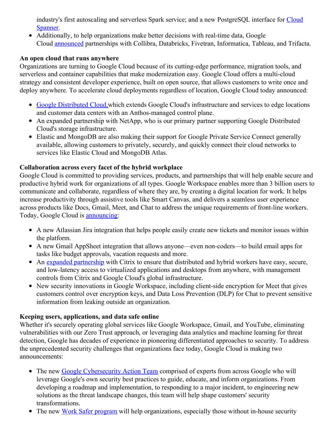industry's first autoscaling and serverless Spark service; and a new [PostgreSQL](https://c212.net/c/link/?t=0&l=en&o=3319222-1&h=296844050&u=https%3A%2F%2Fcloud.google.com%2Fspanner&a=Cloud+Spanner) interface for Cloud Spanner.

Additionally, to help organizations make better decisions with real-time data, Google Cloud [announced](https://c212.net/c/link/?t=0&l=en&o=3319222-1&h=2811764410&u=https%3A%2F%2Fcloud.google.com%2Fblog%2Ftopics%2Fpartners%2Fgoogle-cloud-partners-at-next-2021&a=announced) partnerships with Collibra, Databricks, Fivetran, Informatica, Tableau, and Trifacta.

#### **An open cloud that runs anywhere**

Organizations are turning to Google Cloud because of its cutting-edge performance, migration tools, and serverless and container capabilities that make modernization easy. Google Cloud offers a multi-cloud strategy and consistent developer experience, built on open source, that allows customers to write once and deploy anywhere. To accelerate cloud deployments regardless of location, Google Cloud today announced:

- Google [Distributed](https://c212.net/c/link/?t=0&l=en&o=3319222-1&h=1595671624&u=https%3A%2F%2Fcloud.google.com%2Fblog%2Ftopics%2Fhybrid-cloud%2Fannouncing-google-distributed-cloud-edge-and-hosted&a=Google+Distributed+Cloud%2C) Cloud, which extends Google Cloud's infrastructure and services to edge locations and customer data centers with an Anthos-managed control plane.
- An expanded partnership with NetApp, who is our primary partner supporting Google Distributed Cloud's storage infrastructure.
- Elastic and MongoDB are also making their support for Google Private Service Connect generally available, allowing customers to privately, securely, and quickly connect their cloud networks to services like Elastic Cloud and MongoDB Atlas.

#### **Collaboration across every facet of the hybrid workplace**

Google Cloud is committed to providing services, products, and partnerships that will help enable secure and productive hybrid work for organizations of all types. Google Workspace enables more than 3 billion users to communicate and collaborate, regardless of where they are, by creating a digital location for work. It helps increase productivity through assistive tools like Smart Canvas, and delivers a seamless user experience across products like Docs, Gmail, Meet, and Chat to address the unique requirements of front-line workers. Today, Google Cloud is [announcing](https://c212.net/c/link/?t=0&l=en&o=3319222-1&h=1180591777&u=https%3A%2F%2Fcloud.google.com%2Fblog%2Fproducts%2Fworkspace%2Fannouncing-new-ways-to-build-and-integrate-applications-in-google-workspace&a=announcing):

- A new Atlassian Jira integration that helps people easily create new tickets and monitor issues within the platform.
- A new Gmail AppSheet integration that allows anyone—even non-coders—to build email apps for tasks like budget approvals, vacation requests and more.
- An expanded [partnership](https://c212.net/c/link/?t=0&l=en&o=3319222-1&h=2705870961&u=https%3A%2F%2Fwww.citrix.com%2Fnews%2Fannouncements%2Foct-2021%2Fcitrix-google-cloud-team-deliver-future-hybrid-work.html&a=expanded+partnership) with Citrix to ensure that distributed and hybrid workers have easy, secure, and low-latency access to virtualized applications and desktops from anywhere, with management controls from Citrix and Google Cloud's global infrastructure.
- New security innovations in Google Workspace, including client-side encryption for Meet that gives customers control over encryption keys, and Data Loss Prevention (DLP) for Chat to prevent sensitive information from leaking outside an organization.

### **Keeping users, applications, and data safe online**

Whether it's securely operating global services like Google Workspace, Gmail, and YouTube, eliminating vulnerabilities with our Zero Trust approach, or leveraging data analytics and machine learning for threat detection, Google has decades of experience in pioneering differentiated approaches to security. To address the unprecedented security challenges that organizations face today, Google Cloud is making two announcements:

- The new Google [Cybersecurity](https://c212.net/c/link/?t=0&l=en&o=3319222-1&h=343743073&u=https%3A%2F%2Fwww.googlecloudpresscorner.com%2F2021-10-12-Google-Announces-Cybersecurity-Action-Team-to-Support-the-Security-Transformations-of-Public-and-Private-Sector-Organizations&a=Google+Cybersecurity+Action+Team) Action Team comprised of experts from across Google who will leverage Google's own security best practices to guide, educate, and inform organizations. From developing a roadmap and implementation, to responding to a major incident, to engineering new solutions as the threat landscape changes, this team will help shape customers' security transformations.
- The new Work Safer [program](https://c212.net/c/link/?t=0&l=en&o=3319222-1&h=1475330871&u=https%3A%2F%2Fwww.googlecloudpresscorner.com%2F2021-10-12-Google-Launches-Work-Safer-Protecting-Organizations-from-Increasing-Cybersecurity-Threats-in-Todays-Hybrid-Work-Environment&a=Work+Safer+program) will help organizations, especially those without in-house security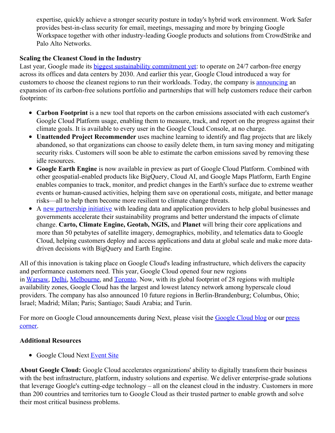expertise, quickly achieve a stronger security posture in today's hybrid work environment. Work Safer provides best-in-class security for email, meetings, messaging and more by bringing Google Workspace together with other industry-leading Google products and solutions from CrowdStrike and Palo Alto Networks.

#### **Scaling the Cleanest Cloud in the Industry**

Last year, Google made its biggest [sustainability](https://c212.net/c/link/?t=0&l=en&o=3319222-1&h=3316333659&u=https%3A%2F%2Fblog.google%2Foutreach-initiatives%2Fsustainability%2Four-third-decade-climate-action-realizing-carbon-free-future%2F&a=biggest+sustainability+commitment+yet) commitment yet: to operate on 24/7 carbon-free energy across its offices and data centers by 2030. And earlier this year, Google Cloud introduced a way for customers to choose the cleanest regions to run their workloads. Today, the company is [announcing](https://c212.net/c/link/?t=0&l=en&o=3319222-1&h=408822856&u=https%3A%2F%2Fcloud.google.com%2Fblog%2Ftopics%2Fsustainability%2Fnew-tools-to-measure-and-reduce-your-environmental-impact&a=announcing) an expansion of its carbon-free solutions portfolio and partnerships that will help customers reduce their carbon footprints:

- **Carbon Footprint** is a new tool that reports on the carbon emissions associated with each customer's Google Cloud Platform usage, enabling them to measure, track, and report on the progress against their climate goals. It is available to every user in the Google Cloud Console, at no charge.
- **Unattended Project Recommender** uses machine learning to identify and flag projects that are likely abandoned, so that organizations can choose to easily delete them, in turn saving money and mitigating security risks. Customers will soon be able to estimate the carbon emissions saved by removing these idle resources.
- **Google Earth Engine** is now available in preview as part of Google Cloud Platform. Combined with other geospatial-enabled products like BigQuery, Cloud AI, and Google Maps Platform, Earth Engine enables companies to track, monitor, and predict changes in the Earth's surface due to extreme weather events or human-caused activities, helping them save on operational costs, mitigate, and better manage risks—all to help them become more resilient to climate change threats.
- A new [partnership](https://c212.net/c/link/?t=0&l=en&o=3319222-1&h=736576649&u=https%3A%2F%2Fwww.googlecloudpresscorner.com%2F2021-10-12-Google-Cloud-Launches-Partnership-Initiative-to-Help-Global-Organizations-Improve-Sustainability-and-Better-Understand-Climate-Change&a=new+partnership+initiative) initiative with leading data and application providers to help global businesses and governments accelerate their sustainability programs and better understand the impacts of climate change. **Carto, Climate Engine, Geotab, NGIS,** and **Planet** will bring their core applications and more than 50 petabytes of satellite imagery, demographics, mobility, and telematics data to Google Cloud, helping customers deploy and access applications and data at global scale and make more datadriven decisions with BigQuery and Earth Engine.

All of this innovation is taking place on Google Cloud's leading infrastructure, which delivers the capacity and performance customers need. This year, Google Cloud opened four new regions in [Warsaw](https://c212.net/c/link/?t=0&l=en&o=3319222-1&h=4262476815&u=https%3A%2F%2Fcloud.google.com%2Fblog%2Fproducts%2Finfrastructure%2Fgoogle-cloud-region-in-warsaw-poland-is-now-open&a=Warsaw), [Delhi](https://c212.net/c/link/?t=0&l=en&o=3319222-1&h=4279958981&u=https%3A%2F%2Fcloud.google.com%2Fblog%2Fproducts%2Finfrastructure%2Fgoogle-cloud-region-in-delhi-ncr-is-now-open&a=Delhi), [Melbourne](https://c212.net/c/link/?t=0&l=en&o=3319222-1&h=4293096145&u=https%3A%2F%2Fcloud.google.com%2Fblog%2Fproducts%2Finfrastructure%2Fthe-google-cloud-region-in-melbourne-is-now-open&a=Melbourne), and [Toronto](https://c212.net/c/link/?t=0&l=en&o=3319222-1&h=553429579&u=https%3A%2F%2Fcloud.google.com%2Fblog%2Fproducts%2Finfrastructure%2Fgoogle-cloud-toronto-region-now-open&a=Toronto). Now, with its global footprint of 28 regions with multiple availability zones, Google Cloud has the largest and lowest latency network among hyperscale cloud providers. The company has also announced 10 future regions in Berlin-Brandenburg; Columbus, Ohio; Israel; Madrid; Milan; Paris; Santiago; Saudi Arabia; and Turin.

For more on Google Cloud [announcements](https://c212.net/c/link/?t=0&l=en&o=3319222-1&h=110739026&u=https%3A%2F%2Fwww.googlecloudpresscorner.com%2Flatest-news&a=press+corner) during Next, please visit the [Google](https://c212.net/c/link/?t=0&l=en&o=3319222-1&h=2844525497&u=https%3A%2F%2Fc212.net%2Fc%2Flink%2F%3Ft%3D0%26l%3Den%26o%3D3289575-1%26h%3D3730920398%26u%3Dhttps%253A%252F%252Fcloud.google.com%252Fblog%252F%253Futm_source%253Dwire%2526utm_medium%253Ddisplay%2526utm_campaign%253DFY21-press-release-related-content-links%2526utm_content%253Dblog-cloud-blog-home%26a%3Dblog&a=Google+Cloud+blog) Cloud blog or our press corner.

#### **Additional Resources**

• Google Cloud Next [Event](https://c212.net/c/link/?t=0&l=en&o=3319222-1&h=2621063612&u=https%3A%2F%2Fcloud.withgoogle.com%2Fnext&a=Event+Site) Site

**About Google Cloud:** Google Cloud accelerates organizations' ability to digitally transform their business with the best infrastructure, platform, industry solutions and expertise. We deliver enterprise-grade solutions that leverage Google's cutting-edge technology – all on the cleanest cloud in the industry. Customers in more than 200 countries and territories turn to Google Cloud as their trusted partner to enable growth and solve their most critical business problems.